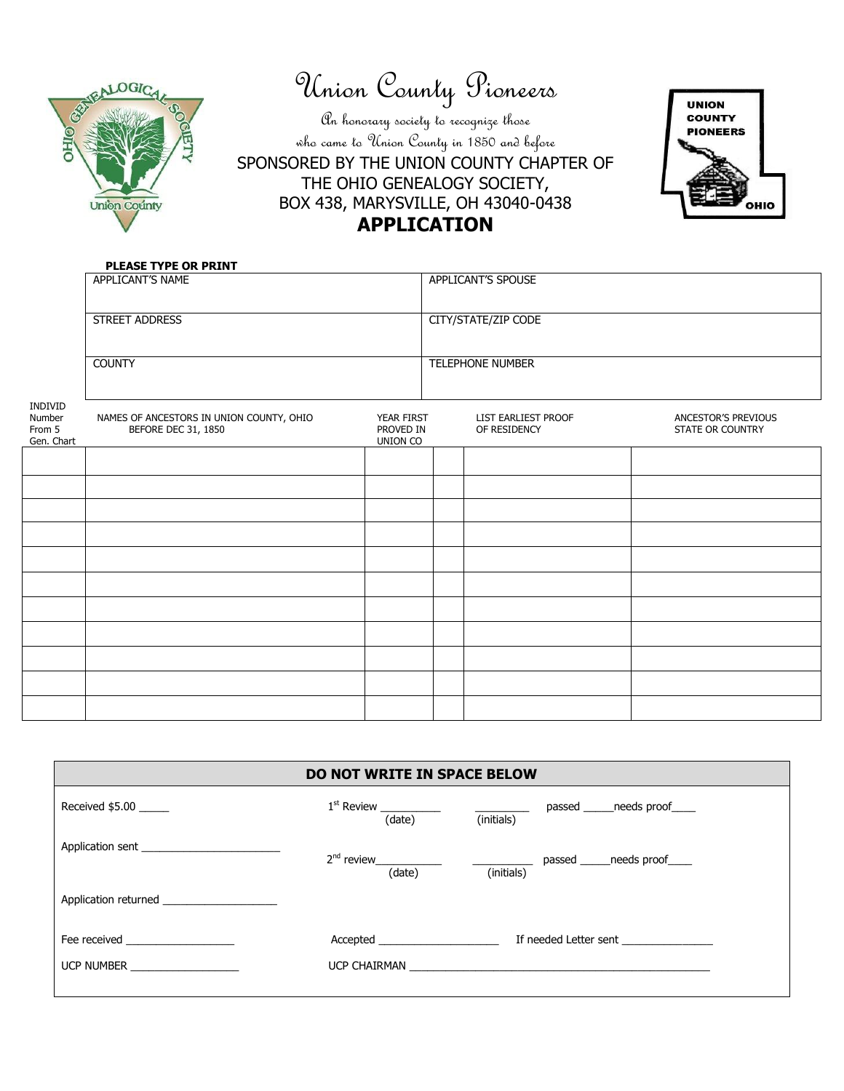

Union County Pioneers

An honorary society to recognize those who came to Union County in 1850 and before SPONSORED BY THE UNION COUNTY CHAPTER OF THE OHIO GENEALOGY SOCIETY, BOX 438, MARYSVILLE, OH 43040-0438 **APPLICATION**



### **PLEASE TYPE OR PRINT**

|                                           | APPLICANT'S NAME                                                |                                            | APPLICANT'S SPOUSE                  |                                         |
|-------------------------------------------|-----------------------------------------------------------------|--------------------------------------------|-------------------------------------|-----------------------------------------|
|                                           | STREET ADDRESS                                                  |                                            | CITY/STATE/ZIP CODE                 |                                         |
|                                           | <b>COUNTY</b>                                                   |                                            | TELEPHONE NUMBER                    |                                         |
| INDIVID<br>Number<br>From 5<br>Gen. Chart | NAMES OF ANCESTORS IN UNION COUNTY, OHIO<br>BEFORE DEC 31, 1850 | YEAR FIRST<br>PROVED IN<br><b>UNION CO</b> | LIST EARLIEST PROOF<br>OF RESIDENCY | ANCESTOR'S PREVIOUS<br>STATE OR COUNTRY |
|                                           |                                                                 |                                            |                                     |                                         |
|                                           |                                                                 |                                            |                                     |                                         |
|                                           |                                                                 |                                            |                                     |                                         |
|                                           |                                                                 |                                            |                                     |                                         |
|                                           |                                                                 |                                            |                                     |                                         |
|                                           |                                                                 |                                            |                                     |                                         |
|                                           |                                                                 |                                            |                                     |                                         |
|                                           |                                                                 |                                            |                                     |                                         |
|                                           |                                                                 |                                            |                                     |                                         |
|                                           |                                                                 |                                            |                                     |                                         |
|                                           |                                                                 |                                            |                                     |                                         |

|                                  | <b>DO NOT WRITE IN SPACE BELOW</b>                                                                            |                                                                                                                |
|----------------------------------|---------------------------------------------------------------------------------------------------------------|----------------------------------------------------------------------------------------------------------------|
| Received \$5.00                  | (date)                                                                                                        | passed ______needs proof_____<br>(initials)                                                                    |
| Application sent                 | $2nd$ review ____________<br>(date)                                                                           | passed ______needs proof_____<br>(initials)                                                                    |
| Application returned             |                                                                                                               |                                                                                                                |
| Fee received <b>Example 2019</b> | Accepted                                                                                                      | If needed Letter sent the control of the control of the control of the control of the control of the control o |
| UCP NUMBER <b>NAMES</b>          | UCP CHAIRMAN DESCRIPTION OF THE STATE OF THE STATE OF THE STATE OF THE STATE OF THE STATE OF THE STATE OF THE |                                                                                                                |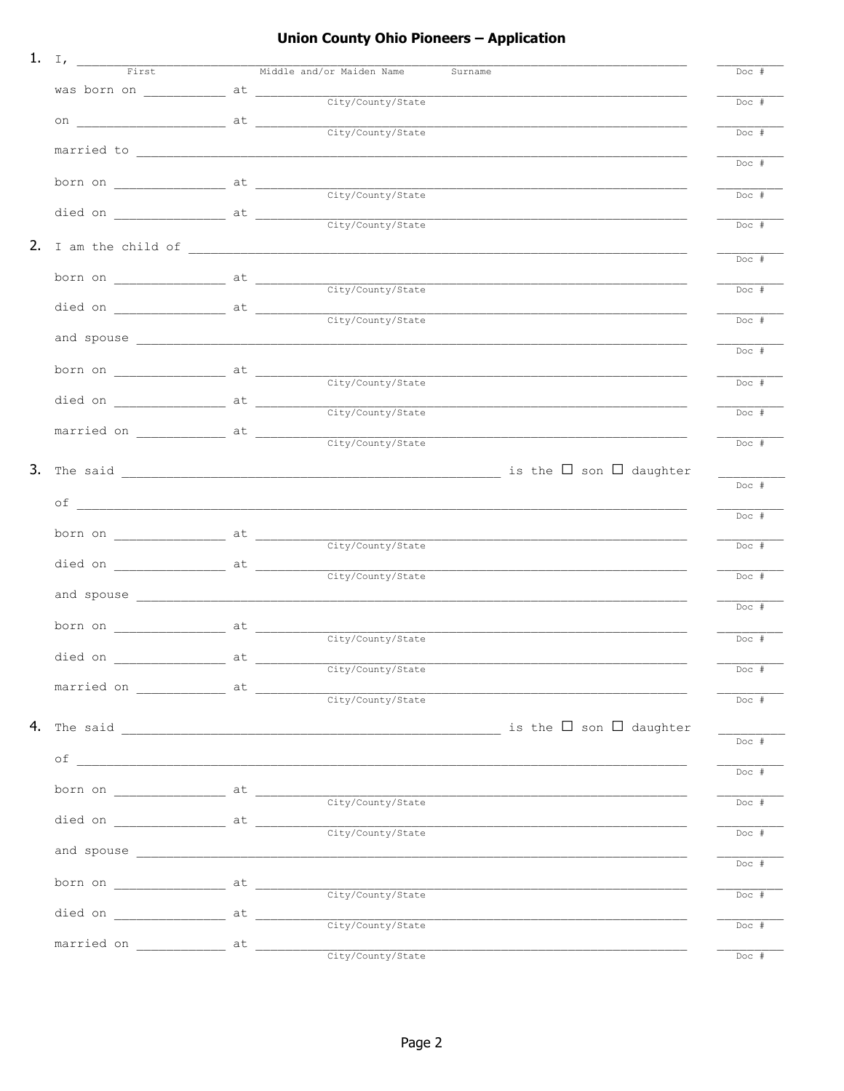## Union County Ohio Pioneers - Application

|                                      | Surname                                                                                                                                                                                                                                                                                                                                                                                                     | Doc #   |
|--------------------------------------|-------------------------------------------------------------------------------------------------------------------------------------------------------------------------------------------------------------------------------------------------------------------------------------------------------------------------------------------------------------------------------------------------------------|---------|
|                                      | was born on $\begin{array}{c} \begin{array}{c} \text{at} \\ \text{city/Country/State} \end{array} \end{array}$                                                                                                                                                                                                                                                                                              | $Doc$ # |
|                                      |                                                                                                                                                                                                                                                                                                                                                                                                             |         |
|                                      |                                                                                                                                                                                                                                                                                                                                                                                                             | $Doc$ # |
|                                      |                                                                                                                                                                                                                                                                                                                                                                                                             | Doc #   |
|                                      |                                                                                                                                                                                                                                                                                                                                                                                                             |         |
|                                      | born on $\frac{at}{\sqrt{c}t\frac{1}{2}\frac{1}{\sqrt{c}t\frac{1}{2}\frac{1}{2}\frac{1}{2}\frac{1}{2}\frac{1}{2}\frac{1}{2}\frac{1}{2}\frac{1}{2}\frac{1}{2}\frac{1}{2}\frac{1}{2}\frac{1}{2}\frac{1}{2}\frac{1}{2}\frac{1}{2}\frac{1}{2}\frac{1}{2}\frac{1}{2}\frac{1}{2}\frac{1}{2}\frac{1}{2}\frac{1}{2}\frac{1}{2}\frac{1}{2}\frac{1}{2}\frac{1}{2}\frac{1}{2}\frac{1}{2}\frac{1}{2}\frac{1}{2}\frac{1$ | $Doc$ # |
|                                      |                                                                                                                                                                                                                                                                                                                                                                                                             | Doc #   |
|                                      |                                                                                                                                                                                                                                                                                                                                                                                                             |         |
|                                      |                                                                                                                                                                                                                                                                                                                                                                                                             | Doc #   |
|                                      |                                                                                                                                                                                                                                                                                                                                                                                                             |         |
|                                      |                                                                                                                                                                                                                                                                                                                                                                                                             | Doc #   |
|                                      |                                                                                                                                                                                                                                                                                                                                                                                                             | Doc #   |
|                                      |                                                                                                                                                                                                                                                                                                                                                                                                             |         |
|                                      |                                                                                                                                                                                                                                                                                                                                                                                                             | Doc #   |
|                                      |                                                                                                                                                                                                                                                                                                                                                                                                             | Doc #   |
|                                      |                                                                                                                                                                                                                                                                                                                                                                                                             |         |
|                                      |                                                                                                                                                                                                                                                                                                                                                                                                             | $Doc$ # |
|                                      |                                                                                                                                                                                                                                                                                                                                                                                                             | Doc #   |
|                                      |                                                                                                                                                                                                                                                                                                                                                                                                             |         |
|                                      |                                                                                                                                                                                                                                                                                                                                                                                                             | Doc #   |
|                                      |                                                                                                                                                                                                                                                                                                                                                                                                             |         |
|                                      |                                                                                                                                                                                                                                                                                                                                                                                                             | Doc #   |
| born on ______________ at __________ | City/County/State                                                                                                                                                                                                                                                                                                                                                                                           | Doc #   |
|                                      |                                                                                                                                                                                                                                                                                                                                                                                                             |         |
|                                      |                                                                                                                                                                                                                                                                                                                                                                                                             | Doc #   |
|                                      |                                                                                                                                                                                                                                                                                                                                                                                                             | Doc #   |
|                                      |                                                                                                                                                                                                                                                                                                                                                                                                             |         |
|                                      |                                                                                                                                                                                                                                                                                                                                                                                                             | Doc #   |
| died on _______________________ at   | $\underbrace{\hspace{2.5cm}} \underbrace{\hspace{2.5cm}} \text{City/Country/State}$                                                                                                                                                                                                                                                                                                                         | Doc #   |
|                                      | married on _____________ at _______________ city/County/State                                                                                                                                                                                                                                                                                                                                               |         |
|                                      |                                                                                                                                                                                                                                                                                                                                                                                                             | Doc #   |
|                                      |                                                                                                                                                                                                                                                                                                                                                                                                             |         |
|                                      |                                                                                                                                                                                                                                                                                                                                                                                                             | Doc #   |
|                                      |                                                                                                                                                                                                                                                                                                                                                                                                             | Doc #   |
|                                      | <u> 1980 - Jan James James James James James James James James James James James James James James James James J</u>                                                                                                                                                                                                                                                                                        |         |
|                                      |                                                                                                                                                                                                                                                                                                                                                                                                             | Doc #   |
|                                      |                                                                                                                                                                                                                                                                                                                                                                                                             | Doc #   |
|                                      |                                                                                                                                                                                                                                                                                                                                                                                                             |         |
|                                      |                                                                                                                                                                                                                                                                                                                                                                                                             | Doc #   |
|                                      |                                                                                                                                                                                                                                                                                                                                                                                                             | Doc #   |
|                                      |                                                                                                                                                                                                                                                                                                                                                                                                             |         |
|                                      |                                                                                                                                                                                                                                                                                                                                                                                                             | Doc #   |
|                                      |                                                                                                                                                                                                                                                                                                                                                                                                             | $Doc$ # |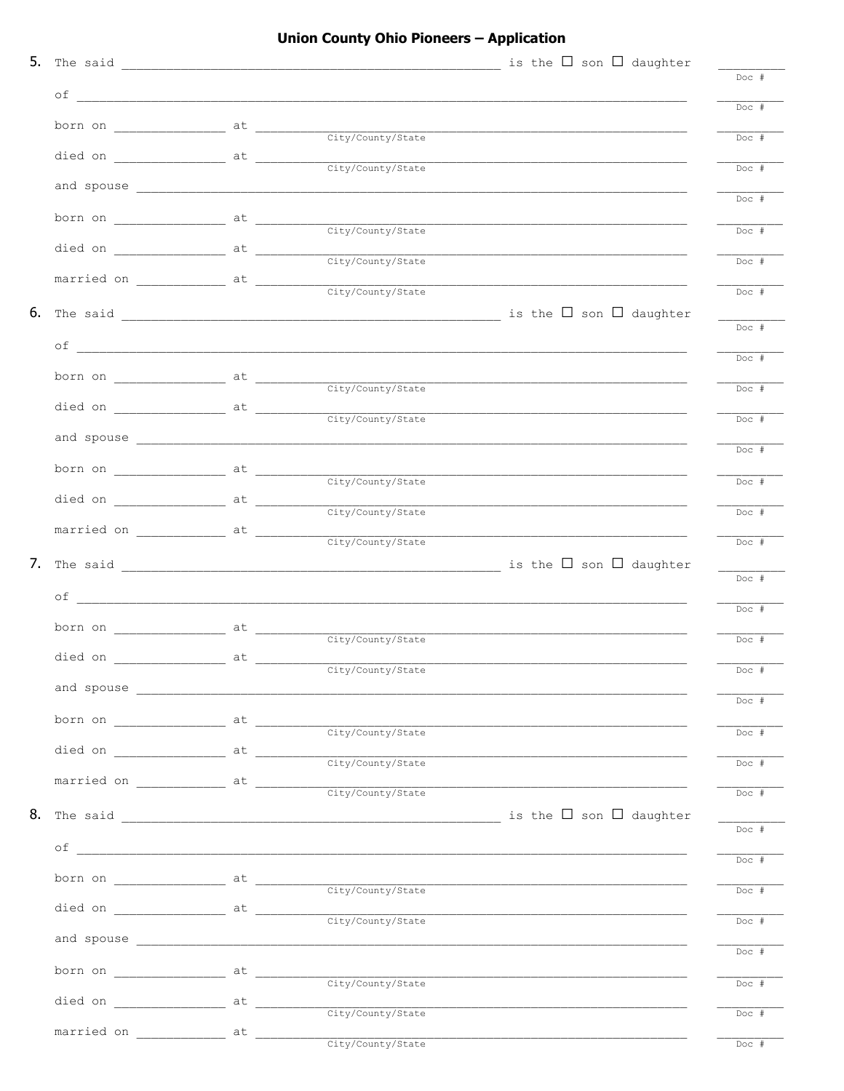## Union County Ohio Pioneers - Application

|                                                                                                               |                   |                                                                                                                                                                                                                                                                                                                                                                                                                                                                        | Doc #              |
|---------------------------------------------------------------------------------------------------------------|-------------------|------------------------------------------------------------------------------------------------------------------------------------------------------------------------------------------------------------------------------------------------------------------------------------------------------------------------------------------------------------------------------------------------------------------------------------------------------------------------|--------------------|
|                                                                                                               |                   |                                                                                                                                                                                                                                                                                                                                                                                                                                                                        | $Doc$ #            |
|                                                                                                               |                   |                                                                                                                                                                                                                                                                                                                                                                                                                                                                        | $Doc$ #            |
|                                                                                                               |                   | died on $\frac{at}{\sqrt{(\text{city}/\text{Country}/\text{State})}}$                                                                                                                                                                                                                                                                                                                                                                                                  | $Doc$ #            |
|                                                                                                               |                   |                                                                                                                                                                                                                                                                                                                                                                                                                                                                        | $Doc$ #            |
|                                                                                                               |                   |                                                                                                                                                                                                                                                                                                                                                                                                                                                                        | $Doc$ #            |
|                                                                                                               |                   | died on $\frac{at}{\sqrt{c}t y/c$                                                                                                                                                                                                                                                                                                                                                                                                                                      | $Doc +$            |
| married on _____________ at ___________                                                                       |                   |                                                                                                                                                                                                                                                                                                                                                                                                                                                                        |                    |
|                                                                                                               | City/County/State |                                                                                                                                                                                                                                                                                                                                                                                                                                                                        | $Doc$ #            |
|                                                                                                               |                   |                                                                                                                                                                                                                                                                                                                                                                                                                                                                        | $Doc$ #            |
|                                                                                                               |                   |                                                                                                                                                                                                                                                                                                                                                                                                                                                                        | $Doc$ #            |
|                                                                                                               |                   | born on $\overline{\phantom{a}}$ at $\overline{\phantom{a}}$ $\overline{\phantom{a}}$ $\overline{\phantom{a}}$ $\overline{\phantom{a}}$ $\overline{\phantom{a}}$ $\overline{\phantom{a}}$ $\overline{\phantom{a}}$ $\overline{\phantom{a}}$ $\overline{\phantom{a}}$ $\overline{\phantom{a}}$ $\overline{\phantom{a}}$ $\overline{\phantom{a}}$ $\overline{\phantom{a}}$ $\overline{\phantom{a}}$ $\overline{\phantom{a}}$ $\overline{\phantom{a}}$ $\overline{\phant$ | $Doc$ #            |
|                                                                                                               |                   | died on $\overline{\phantom{a}}$ at $\overline{\phantom{a}}$ $\overline{\phantom{a}}$ $\phantom{a}$ $\phantom{a}$ $\phantom{a}$ $\phantom{a}$ $\phantom{a}$ $\phantom{a}$ $\phantom{a}$ $\phantom{a}$ $\phantom{a}$ $\phantom{a}$ $\phantom{a}$ $\phantom{a}$ $\phantom{a}$ $\phantom{a}$ $\phantom{a}$ $\phantom{a}$ $\phantom{a}$ $\phantom{a}$ $\phantom{a}$ $\phant$                                                                                               |                    |
|                                                                                                               |                   |                                                                                                                                                                                                                                                                                                                                                                                                                                                                        | $Doc$ #            |
|                                                                                                               |                   |                                                                                                                                                                                                                                                                                                                                                                                                                                                                        | $Doc$ #            |
|                                                                                                               |                   | <u> 1989 - Johann John Stone, mars et al. 1989 - John Stone, mars et al. 1989 - John Stone, mars et al. 1989 - Joh</u>                                                                                                                                                                                                                                                                                                                                                 | $Doc$ #            |
|                                                                                                               |                   |                                                                                                                                                                                                                                                                                                                                                                                                                                                                        | $Doc$ #            |
|                                                                                                               |                   |                                                                                                                                                                                                                                                                                                                                                                                                                                                                        | $Doc$ #            |
|                                                                                                               |                   |                                                                                                                                                                                                                                                                                                                                                                                                                                                                        |                    |
|                                                                                                               |                   |                                                                                                                                                                                                                                                                                                                                                                                                                                                                        | $Doc$ #            |
|                                                                                                               |                   |                                                                                                                                                                                                                                                                                                                                                                                                                                                                        | $Doc$ #            |
|                                                                                                               |                   |                                                                                                                                                                                                                                                                                                                                                                                                                                                                        | $Doc$ #            |
|                                                                                                               |                   |                                                                                                                                                                                                                                                                                                                                                                                                                                                                        | $Doc$ #            |
|                                                                                                               |                   |                                                                                                                                                                                                                                                                                                                                                                                                                                                                        | $Doc$ #            |
|                                                                                                               |                   |                                                                                                                                                                                                                                                                                                                                                                                                                                                                        | $\overline{D}OC$ # |
|                                                                                                               |                   |                                                                                                                                                                                                                                                                                                                                                                                                                                                                        |                    |
| married on $\begin{array}{c c} \hline \end{array}$ at $\begin{array}{c} \hline \end{array}$ city/County/State |                   |                                                                                                                                                                                                                                                                                                                                                                                                                                                                        | $Doc +$            |
|                                                                                                               |                   |                                                                                                                                                                                                                                                                                                                                                                                                                                                                        | $Doc$ #            |
|                                                                                                               |                   |                                                                                                                                                                                                                                                                                                                                                                                                                                                                        | $Doc$ #            |
|                                                                                                               |                   |                                                                                                                                                                                                                                                                                                                                                                                                                                                                        | $Doc$ #            |
|                                                                                                               |                   |                                                                                                                                                                                                                                                                                                                                                                                                                                                                        | $Doc$ #            |
|                                                                                                               |                   |                                                                                                                                                                                                                                                                                                                                                                                                                                                                        |                    |
|                                                                                                               |                   |                                                                                                                                                                                                                                                                                                                                                                                                                                                                        | $Doc$ #            |
|                                                                                                               |                   |                                                                                                                                                                                                                                                                                                                                                                                                                                                                        | $Doc$ #            |
|                                                                                                               |                   |                                                                                                                                                                                                                                                                                                                                                                                                                                                                        | $Doc +$            |
|                                                                                                               |                   | died on $\begin{array}{c} \begin{array}{c} \end{array}$ at $\begin{array}{c} \begin{array}{c} \end{array}$ city/County/State                                                                                                                                                                                                                                                                                                                                           | $Doc$ #            |
| married on _______________ at ___________                                                                     | City/County/State |                                                                                                                                                                                                                                                                                                                                                                                                                                                                        | $Doc$ #            |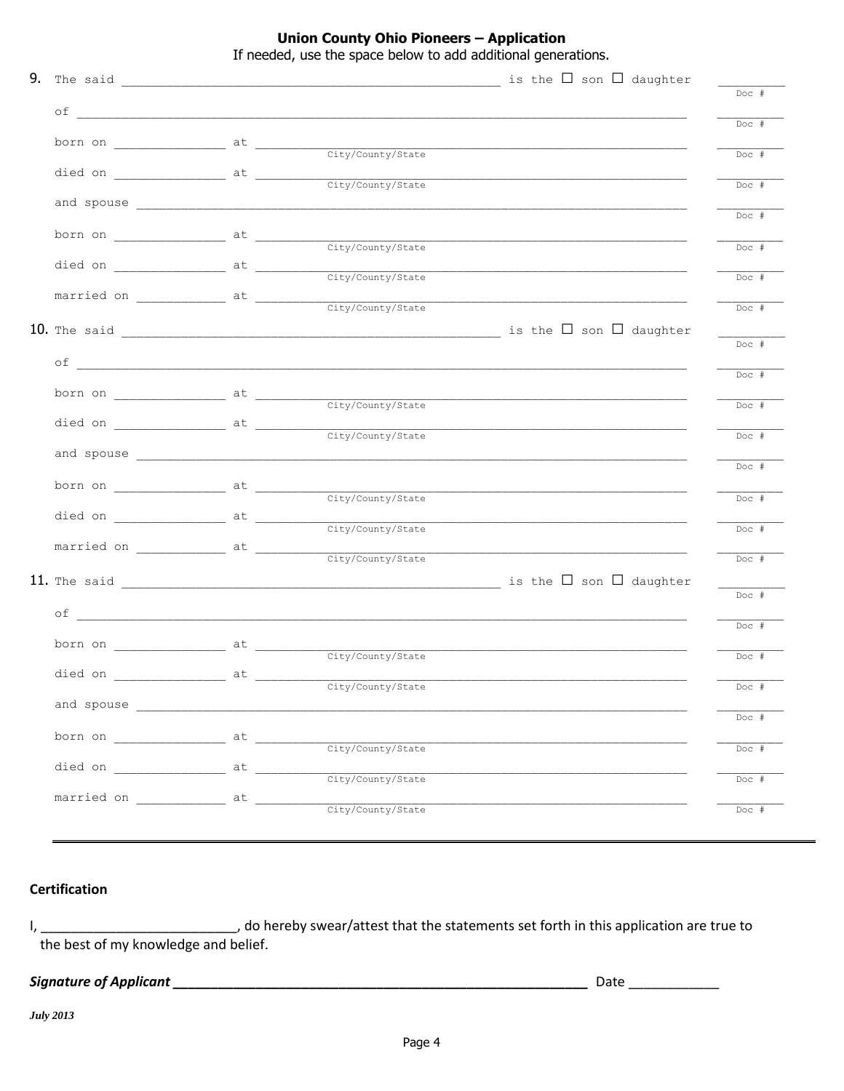**Union County Ohio Pioneers - Application** 

If needed, use the space below to add additional generations.

|                                    |                                                                                | $Doc$ # |
|------------------------------------|--------------------------------------------------------------------------------|---------|
|                                    |                                                                                | $Doc$ # |
|                                    |                                                                                | $Doc$ # |
|                                    |                                                                                |         |
|                                    |                                                                                | $Doc$ # |
|                                    |                                                                                | $Doc$ # |
|                                    |                                                                                |         |
|                                    |                                                                                | $Doc$ # |
|                                    | died on $\frac{at}{\sqrt{c}t y/c \sqrt{c} \sqrt{c} t}$                         |         |
|                                    |                                                                                | $Doc +$ |
|                                    | married on $\frac{at}{\sqrt{c}t y/c \cdot \text{output/s} \cdot \text{state}}$ | $Doc$ # |
|                                    |                                                                                |         |
|                                    |                                                                                | Doc #   |
|                                    |                                                                                |         |
|                                    |                                                                                | $Doc$ # |
|                                    |                                                                                | $Doc$ # |
|                                    |                                                                                |         |
|                                    | died on $\frac{at}{\sqrt{c}t y/c \cdot \text{output}}$                         | $Doc$ # |
|                                    |                                                                                | $Doc$ # |
|                                    |                                                                                |         |
|                                    | City/County/State                                                              | $Doc +$ |
|                                    | City/County/State                                                              |         |
|                                    |                                                                                | $Doc$ # |
|                                    |                                                                                | $Doc$ # |
|                                    |                                                                                |         |
|                                    |                                                                                | Doc #   |
|                                    |                                                                                |         |
|                                    |                                                                                | $Doc$ # |
|                                    |                                                                                | $Doc$ # |
|                                    |                                                                                |         |
|                                    |                                                                                | $Doc$ # |
|                                    |                                                                                | $Doc$ # |
|                                    |                                                                                |         |
|                                    |                                                                                | $Doc$ # |
| died on __________________ at ____ | City/County/State                                                              |         |
| married on _____________ at ______ |                                                                                | Doc #   |
|                                    | City/County/State                                                              | $Doc$ # |

## **Certification**

the best of my knowledge and belief.

#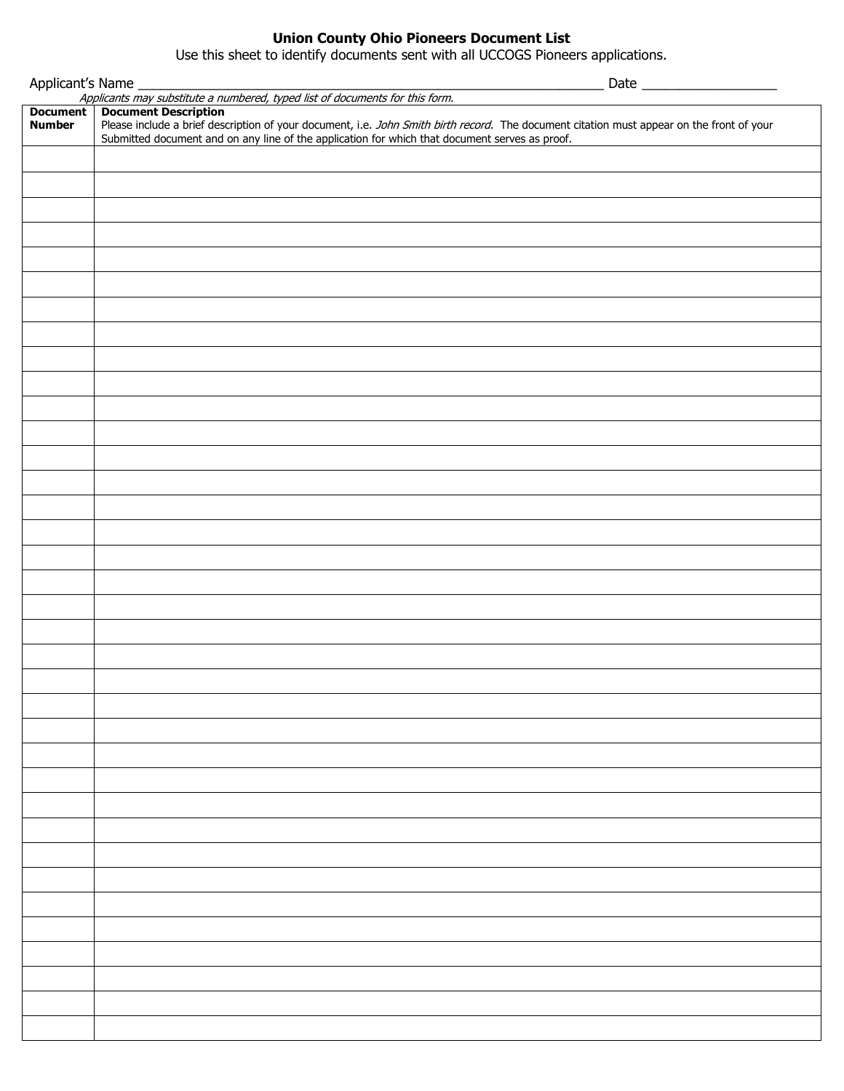### **Union County Ohio Pioneers Document List**

Use this sheet to identify documents sent with all UCCOGS Pioneers applications.

|                                  | Applicant's Name<br>Applicants may substitute a numbered, typed list of documents for this form.                                                                         |
|----------------------------------|--------------------------------------------------------------------------------------------------------------------------------------------------------------------------|
|                                  |                                                                                                                                                                          |
| <b>Document</b><br><b>Number</b> | <b>Document Description</b><br>Please include a brief description of your document, i.e. John Smith birth record. The document citation must appear on the front of your |
|                                  | Submitted document and on any line of the application for which that document serves as proof.                                                                           |
|                                  |                                                                                                                                                                          |
|                                  |                                                                                                                                                                          |
|                                  |                                                                                                                                                                          |
|                                  |                                                                                                                                                                          |
|                                  |                                                                                                                                                                          |
|                                  |                                                                                                                                                                          |
|                                  |                                                                                                                                                                          |
|                                  |                                                                                                                                                                          |
|                                  |                                                                                                                                                                          |
|                                  |                                                                                                                                                                          |
|                                  |                                                                                                                                                                          |
|                                  |                                                                                                                                                                          |
|                                  |                                                                                                                                                                          |
|                                  |                                                                                                                                                                          |
|                                  |                                                                                                                                                                          |
|                                  |                                                                                                                                                                          |
|                                  |                                                                                                                                                                          |
|                                  |                                                                                                                                                                          |
|                                  |                                                                                                                                                                          |
|                                  |                                                                                                                                                                          |
|                                  |                                                                                                                                                                          |
|                                  |                                                                                                                                                                          |
|                                  |                                                                                                                                                                          |
|                                  |                                                                                                                                                                          |
|                                  |                                                                                                                                                                          |
|                                  |                                                                                                                                                                          |
|                                  |                                                                                                                                                                          |
|                                  |                                                                                                                                                                          |
|                                  |                                                                                                                                                                          |
|                                  |                                                                                                                                                                          |
|                                  |                                                                                                                                                                          |
|                                  |                                                                                                                                                                          |
|                                  |                                                                                                                                                                          |
|                                  |                                                                                                                                                                          |
|                                  |                                                                                                                                                                          |
|                                  |                                                                                                                                                                          |
|                                  |                                                                                                                                                                          |
|                                  |                                                                                                                                                                          |
|                                  |                                                                                                                                                                          |
|                                  |                                                                                                                                                                          |
|                                  |                                                                                                                                                                          |
|                                  |                                                                                                                                                                          |
|                                  |                                                                                                                                                                          |
|                                  |                                                                                                                                                                          |
|                                  |                                                                                                                                                                          |
|                                  |                                                                                                                                                                          |
|                                  |                                                                                                                                                                          |
|                                  |                                                                                                                                                                          |
|                                  |                                                                                                                                                                          |
|                                  |                                                                                                                                                                          |
|                                  |                                                                                                                                                                          |
|                                  |                                                                                                                                                                          |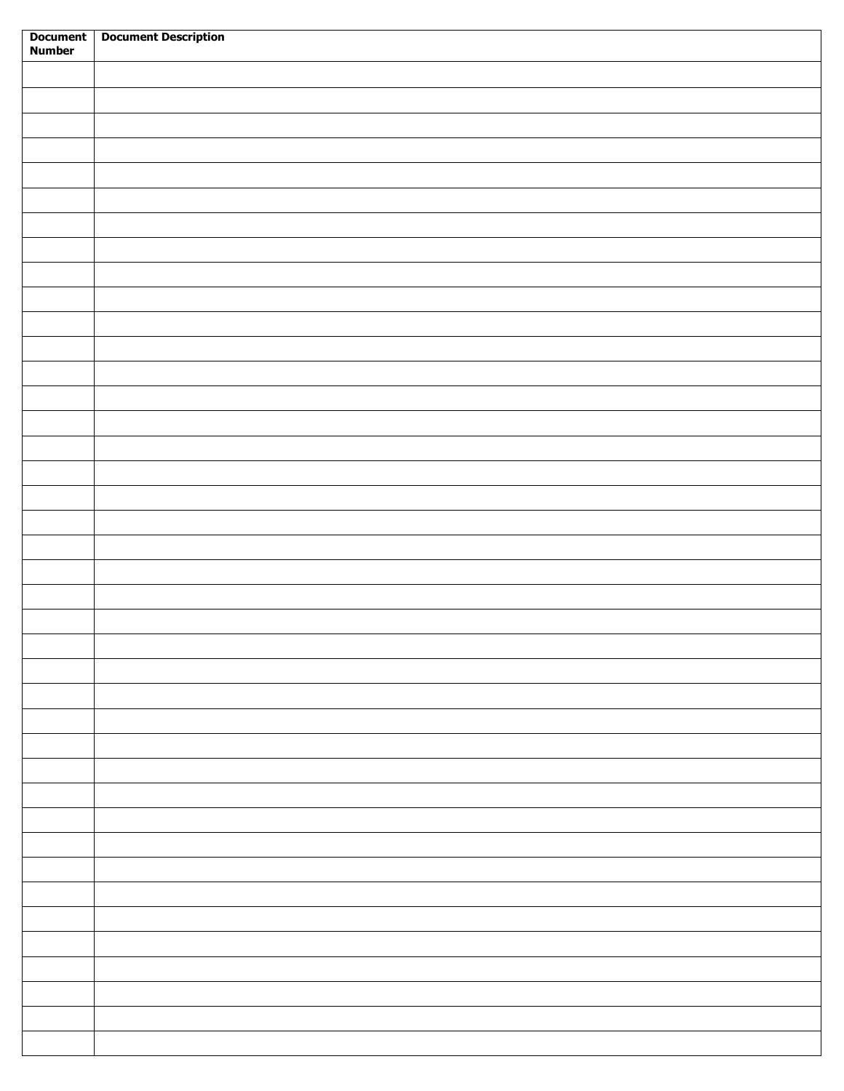| Document<br>Number | <b>Document Description</b> |
|--------------------|-----------------------------|
|                    |                             |
|                    |                             |
|                    |                             |
|                    |                             |
|                    |                             |
|                    |                             |
|                    |                             |
|                    |                             |
|                    |                             |
|                    |                             |
|                    |                             |
|                    |                             |
|                    |                             |
|                    |                             |
|                    |                             |
|                    |                             |
|                    |                             |
|                    |                             |
|                    |                             |
|                    |                             |
|                    |                             |
|                    |                             |
|                    |                             |
|                    |                             |
|                    |                             |
|                    |                             |
|                    |                             |
|                    |                             |
|                    |                             |
|                    |                             |
|                    |                             |
|                    |                             |
|                    |                             |
|                    |                             |
|                    |                             |
|                    |                             |
|                    |                             |
|                    |                             |
|                    |                             |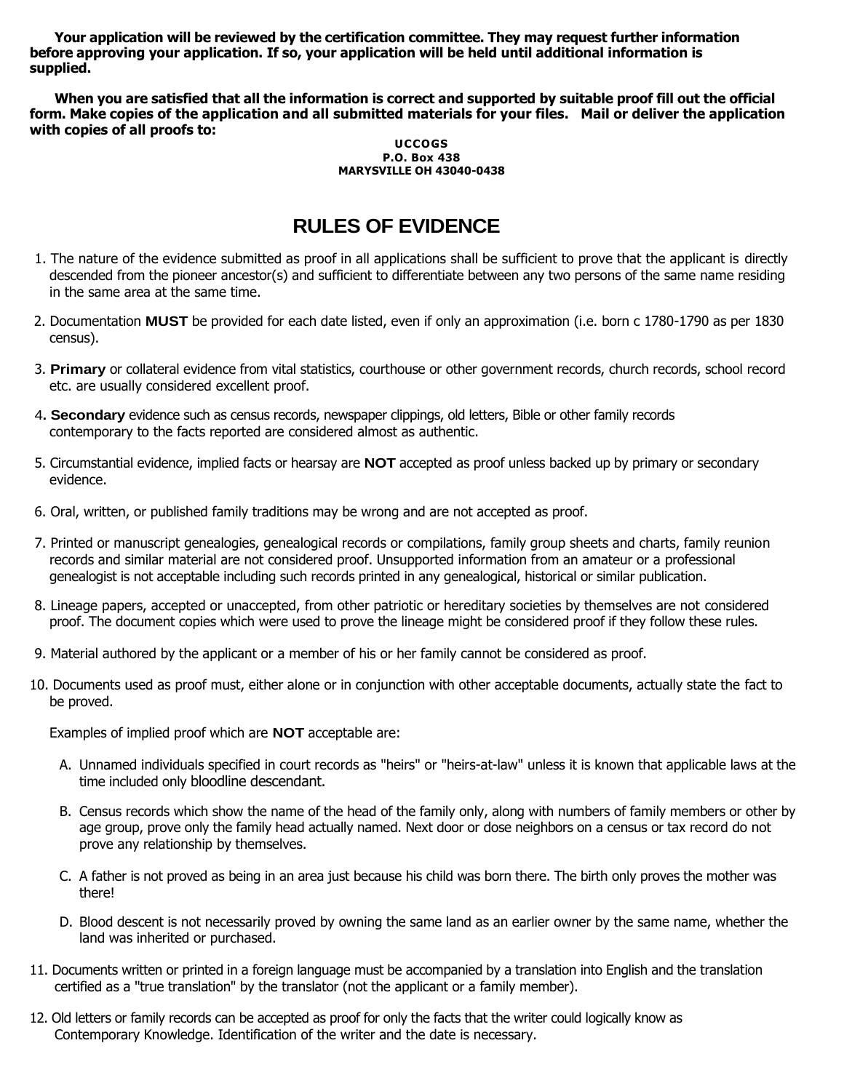**Your application will be reviewed by the certification committee. They may request further information before approving your application. If so, your application will be held until additional information is supplied.**

**When you are satisfied that all the information is correct and supported by suitable proof fill out the official form. Make copies of the application and all submitted materials for your files. Mail or deliver the application with copies of all proofs to:**

#### **UCCOGS P.O. Box 438 MARYSVILLE OH 43040-0438**

# **RULES OF EVIDENCE**

- 1. The nature of the evidence submitted as proof in all applications shall be sufficient to prove that the applicant is directly descended from the pioneer ancestor(s) and sufficient to differentiate between any two persons of the same name residing in the same area at the same time.
- 2. Documentation **MUST** be provided for each date listed, even if only an approximation (i.e. born c 1780-1790 as per 1830 census).
- 3. **Primary** or collateral evidence from vital statistics, courthouse or other government records, church records, school record etc. are usually considered excellent proof.
- 4**. Secondary** evidence such as census records, newspaper clippings, old letters, Bible or other family records contemporary to the facts reported are considered almost as authentic.
- 5. Circumstantial evidence, implied facts or hearsay are **NOT** accepted as proof unless backed up by primary or secondary evidence.
- 6. Oral, written, or published family traditions may be wrong and are not accepted as proof.
- 7. Printed or manuscript genealogies, genealogical records or compilations, family group sheets and charts, family reunion records and similar material are not considered proof. Unsupported information from an amateur or a professional genealogist is not acceptable including such records printed in any genealogical, historical or similar publication.
- 8. Lineage papers, accepted or unaccepted, from other patriotic or hereditary societies by themselves are not considered proof. The document copies which were used to prove the lineage might be considered proof if they follow these rules.
- 9. Material authored by the applicant or a member of his or her family cannot be considered as proof.
- 10. Documents used as proof must, either alone or in conjunction with other acceptable documents, actually state the fact to be proved.

Examples of implied proof which are **NOT** acceptable are:

- A. Unnamed individuals specified in court records as "heirs" or "heirs-at-law" unless it is known that applicable laws at the time included only bloodline descendant.
- B. Census records which show the name of the head of the family only, along with numbers of family members or other by age group, prove only the family head actually named. Next door or dose neighbors on a census or tax record do not prove any relationship by themselves.
- C. A father is not proved as being in an area just because his child was born there. The birth only proves the mother was there!
- D. Blood descent is not necessarily proved by owning the same land as an earlier owner by the same name, whether the land was inherited or purchased.
- 11. Documents written or printed in a foreign language must be accompanied by a translation into English and the translation certified as a "true translation" by the translator (not the applicant or a family member).
- 12. Old letters or family records can be accepted as proof for only the facts that the writer could logically know as Contemporary Knowledge. Identification of the writer and the date is necessary.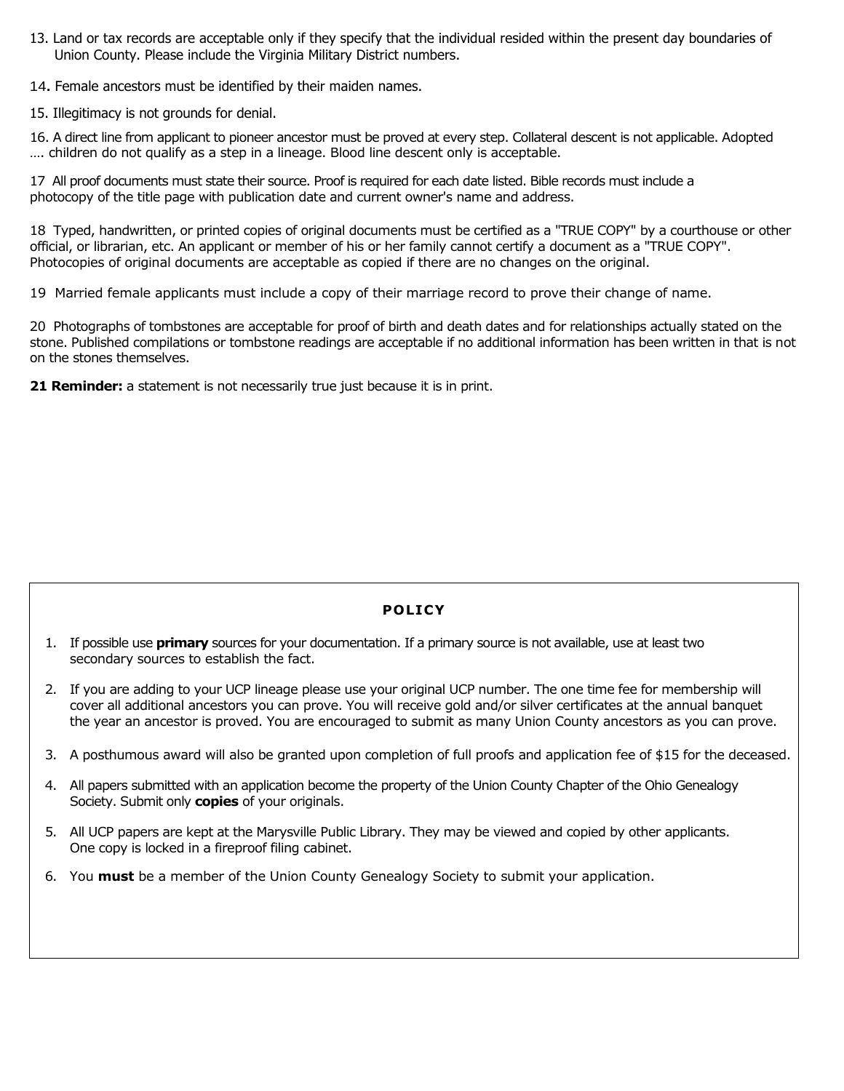- 13. Land or tax records are acceptable only if they specify that the individual resided within the present day boundaries of Union County. Please include the Virginia Military District numbers.
- 14**.** Female ancestors must be identified by their maiden names.
- 15. Illegitimacy is not grounds for denial.

16. A direct line from applicant to pioneer ancestor must be proved at every step. Collateral descent is not applicable. Adopted …. children do not qualify as a step in a lineage. Blood line descent only is acceptable.

17 All proof documents must state their source. Proof is required for each date listed. Bible records must include a photocopy of the title page with publication date and current owner's name and address.

18 Typed, handwritten, or printed copies of original documents must be certified as a "TRUE COPY" by a courthouse or other official, or librarian, etc. An applicant or member of his or her family cannot certify a document as a "TRUE COPY". Photocopies of original documents are acceptable as copied if there are no changes on the original.

19 Married female applicants must include a copy of their marriage record to prove their change of name.

20 Photographs of tombstones are acceptable for proof of birth and death dates and for relationships actually stated on the stone. Published compilations or tombstone readings are acceptable if no additional information has been written in that is not on the stones themselves.

21 Reminder: a statement is not necessarily true just because it is in print.

## **POLICY**

- 1. If possible use **primary** sources for your documentation. If a primary source is not available, use at least two secondary sources to establish the fact.
- 2. If you are adding to your UCP lineage please use your original UCP number. The one time fee for membership will cover all additional ancestors you can prove. You will receive gold and/or silver certificates at the annual banquet the year an ancestor is proved. You are encouraged to submit as many Union County ancestors as you can prove.
- 3. A posthumous award will also be granted upon completion of full proofs and application fee of \$15 for the deceased.
- 4. All papers submitted with an application become the property of the Union County Chapter of the Ohio Genealogy Society. Submit only **copies** of your originals.
- 5. All UCP papers are kept at the Marysville Public Library. They may be viewed and copied by other applicants. One copy is locked in a fireproof filing cabinet.
- 6. You **must** be a member of the Union County Genealogy Society to submit your application.